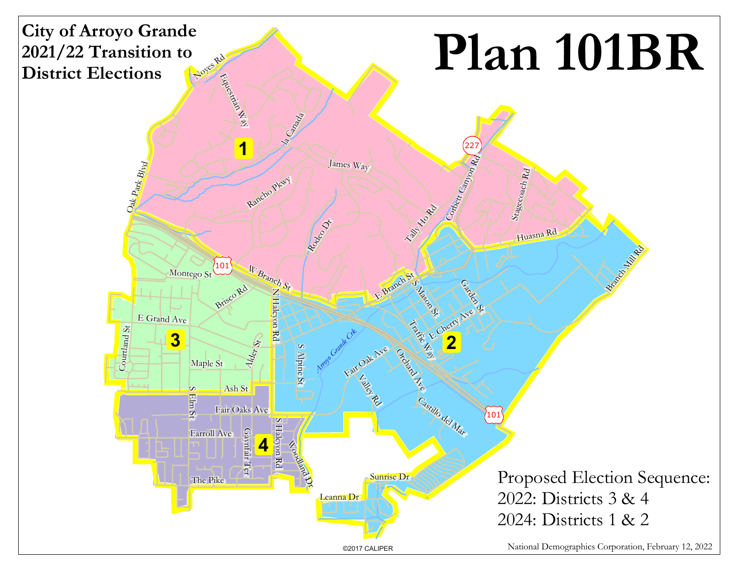